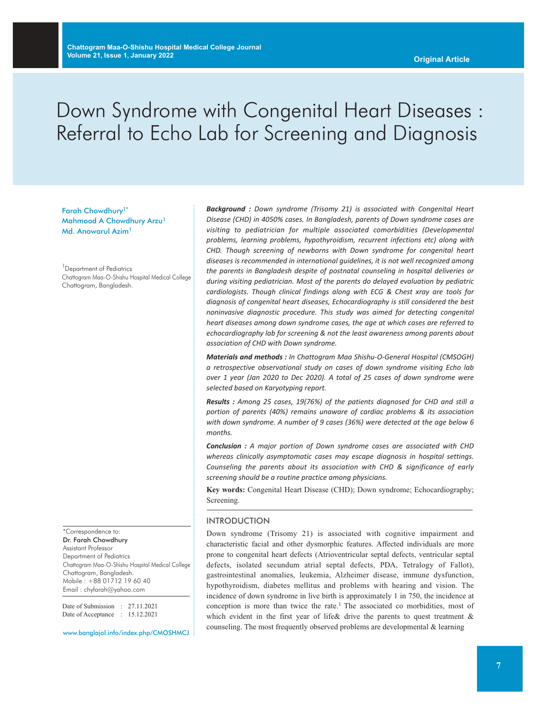# Down Syndrome with Congenital Heart Diseases : Referral to Echo Lab for Screening and Diagnosis

Farah Chowdhury1\* Mahmood A Chowdhury Arzu<sup>1</sup> Md. Anowarul Azim<sup>1</sup>

<sup>1</sup> Department of Pediatrics Chattogram Maa-O-Shishu Hospital Medical College Chattogram, Bangladesh.

\*Correspondence to: Dr. Farah Chowdhury Assistant Professor Department of Pediatrics Chattogram Maa-O-Shishu Hospital Medical College Chattogram, Bangladesh. Mobile : +88 01712 19 60 40 Email : chyfarah@yahoo.com

Date of Submission : 27.11.2021 Date of Acceptance : 15.12.2021

www.banglajol.info/index.php/CMOSHMCJ

*Background : Down syndrome (Trisomy 21) is associated with Congenital Heart Disease (CHD) in 4050% cases. In Bangladesh, parents of Down syndrome cases are visiting to pediatrician for multiple associated comorbidities (Developmental problems, learning problems, hypothyroidism, recurrent infections etc) along with CHD. Though screening of newborns with Down syndrome for congenital heart diseases is recommended in international guidelines, it is not well recognized among the parents in Bangladesh despite of postnatal counseling in hospital deliveries or during visiting pediatrician. Most of the parents do delayed evaluation by pediatric cardiologists. Though clinical findings along with ECG & Chest xray are tools for diagnosis of congenital heart diseases, Echocardiography is still considered the best noninvasive diagnostic procedure. This study was aimed for detecting congenital heart diseases among down syndrome cases, the age at which cases are referred to echocardiography lab for screening & not the least awareness among parents about association of CHD with Down syndrome.*

*Materials and methods : In Chattogram Maa Shishu-O-General Hospital (CMSOGH) a retrospective observational study on cases of down syndrome visiting Echo lab over 1 year (Jan 2020 to Dec 2020). A total of 25 cases of down syndrome were selected based on Karyotyping report.*

*Results : Among 25 cases, 19(76%) of the patients diagnosed for CHD and still a portion of parents (40%) remains unaware of cardiac problems & its association with down syndrome. A number of 9 cases (36%) were detected at the age below 6 months.*

*Conclusion : A major portion of Down syndrome cases are associated with CHD whereas clinically asymptomatic cases may escape diagnosis in hospital settings. Counseling the parents about its association with CHD & significance of early screening should be a routine practice among physicians.*

**Key words:** Congenital Heart Disease (CHD); Down syndrome; Echocardiography; Screening.

#### INTRODUCTION

Down syndrome (Trisomy 21) is associated with cognitive impairment and characteristic facial and other dysmorphic features. Affected individuals are more prone to congenital heart defects (Atrioventricular septal defects, ventricular septal defects, isolated secundum atrial septal defects, PDA, Tetralogy of Fallot), gastrointestinal anomalies, leukemia, Alzheimer disease, immune dysfunction, hypothyroidism, diabetes mellitus and problems with hearing and vision. The incidence of down syndrome in live birth is approximately 1 in 750, the incidence at conception is more than twice the rate. <sup>1</sup> The associated co morbidities, most of which evident in the first year of life & drive the parents to quest treatment  $\&$ counseling. The most frequently observed problems are developmental & learning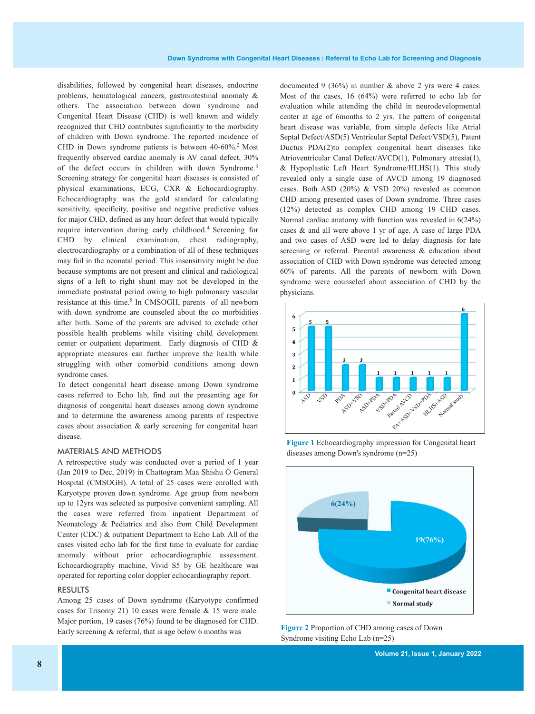disabilities, followed by congenital heart diseases, endocrine problems, hematological cancers, gastrointestinal anomaly & others. The association between down syndrome and Congenital Heart Disease (CHD) is well known and widely recognized that CHD contributes significantly to the morbidity of children with Down syndrome. The reported incidence of CHD in Down syndrome patients is between 40-60%. <sup>2</sup> Most frequently observed cardiac anomaly is AV canal defect, 30% of the defect occurs in children with down Syndrome.<sup>3</sup> Screening strategy for congenital heart diseases is consisted of physical examinations, ECG, CXR & Echocardiography. Echocardiography was the gold standard for calculating sensitivity, specificity, positive and negative predictive values for major CHD, defined as any heart defect that would typically require intervention during early childhood. <sup>4</sup> Screening for CHD by clinical examination, chest radiography, electrocardiography or a combination of all of these techniques may fail in the neonatal period. This insensitivity might be due because symptoms are not present and clinical and radiological signs of a left to right shunt may not be developed in the immediate postnatal period owing to high pulmonary vascular resistance at this time. <sup>5</sup> In CMSOGH, parents of all newborn with down syndrome are counseled about the co morbidities after birth. Some of the parents are advised to exclude other possible health problems while visiting child development center or outpatient department. Early diagnosis of CHD & appropriate measures can further improve the health while struggling with other comorbid conditions among down syndrome cases.

To detect congenital heart disease among Down syndrome cases referred to Echo lab, find out the presenting age for diagnosis of congenital heart diseases among down syndrome and to determine the awareness among parents of respective cases about association & early screening for congenital heart disease.

#### MATERIALS AND METHODS

A retrospective study was conducted over a period of 1 year (Jan 2019 to Dec, 2019) in Chattogram Maa Shishu O General Hospital (CMSOGH). A total of 25 cases were enrolled with Karyotype proven down syndrome. Age group from newborn up to 12yrs was selected as purposive convenient sampling. All the cases were referred from inpatient Department of Neonatology & Pediatrics and also from Child Development Center (CDC) & outpatient Department to Echo Lab. All of the cases visited echo lab for the first time to evaluate for cardiac anomaly without prior echocardiographic assessment. Echocardiography machine, Vivid S5 by GE healthcare was operated for reporting color doppler echocardiography report.

#### RESULTS

Among 25 cases of Down syndrome (Karyotype confirmed cases for Trisomy 21) 10 cases were female & 15 were male. Major portion, 19 cases (76%) found to be diagnosed for CHD. Early screening & referral, that is age below <sup>6</sup> months was **Figure <sup>2</sup>** Proportion of CHD among cases of Down

documented 9 (36%) in number & above 2 yrs were 4 cases. Most of the cases, 16 (64%) were referred to echo lab for evaluation while attending the child in neurodevelopmental center at age of 6months to 2 yrs. The pattern of congenital heart disease was variable, from simple defects like Atrial Septal Defect/ASD(5) Ventricular Septal Defect/VSD(5), Patent Ductus PDA(2)to complex congenital heart diseases like Atrioventricular Canal Defect/AVCD(1), Pulmonary atresia(1), & Hypoplastic Left Heart Syndrome/HLHS(1). This study revealed only a single case of AVCD among 19 diagnosed cases. Both ASD (20%) & VSD 20%) revealed as common CHD among presented cases of Down syndrome. Three cases (12%) detected as complex CHD among 19 CHD cases. Normal cardiac anatomy with function was revealed in 6(24%) cases & and all were above 1 yr of age. A case of large PDA and two cases of ASD were led to delay diagnosis for late screening or referral. Parental awareness & education about association of CHD with Down syndrome was detected among 60% of parents. All the parents of newborn with Down syndrome were counseled about association of CHD by the physicians.



**Figure 1** Echocardiography impression for Congenital heart diseases among Down's syndrome (n=25)



Syndrome visiting Echo Lab (n=25)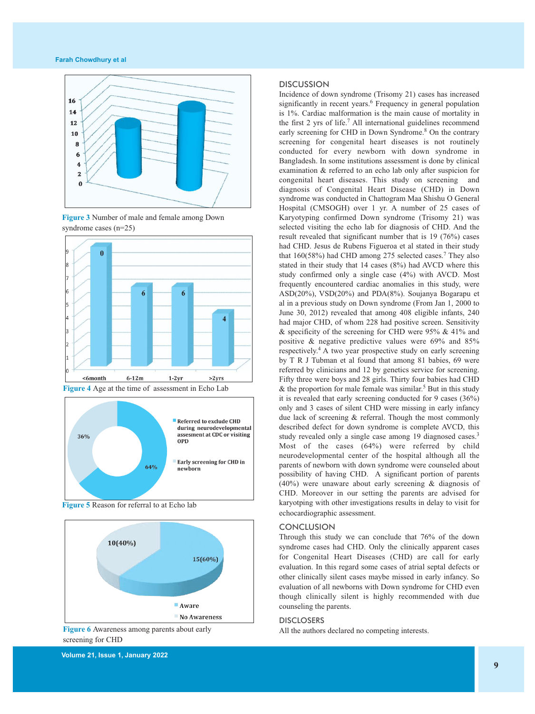#### **Farah Chowdhury et al**



**Figure 3** Number of male and female among Down syndrome cases (n=25)







**Figure 5** Reason for referral to at Echo lab



**Figure 6** Awareness among parents about early screening for CHD

## **DISCUSSION**

Incidence of down syndrome (Trisomy 21) cases has increased significantly in recent years. <sup>6</sup> Frequency in general population is 1%. Cardiac malformation is the main cause of mortality in the first 2 yrs of life. <sup>7</sup> All international guidelines recommend early screening for CHD in Down Syndrome.<sup>8</sup> On the contrary screening for congenital heart diseases is not routinely conducted for every newborn with down syndrome in Bangladesh. In some institutions assessment is done by clinical examination & referred to an echo lab only after suspicion for congenital heart diseases. This study on screening and diagnosis of Congenital Heart Disease (CHD) in Down syndrome was conducted in Chattogram Maa Shishu O General Hospital (CMSOGH) over 1 yr. A number of 25 cases of Karyotyping confirmed Down syndrome (Trisomy 21) was selected visiting the echo lab for diagnosis of CHD. And the result revealed that significant number that is 19 (76%) cases had CHD. Jesus de Rubens Figueroa et al stated in their study that 160(58%) had CHD among 275 selected cases. <sup>7</sup> They also stated in their study that 14 cases (8%) had AVCD where this study confirmed only a single case (4%) with AVCD. Most frequently encountered cardiac anomalies in this study, were ASD(20%), VSD(20%) and PDA(8%). Soujanya Bogarapu et al in a previous study on Down syndrome (From Jan 1, 2000 to June 30, 2012) revealed that among 408 eligible infants, 240 had major CHD, of whom 228 had positive screen. Sensitivity & specificity of the screening for CHD were 95% & 41% and positive & negative predictive values were 69% and 85% respectively. <sup>4</sup> A two year prospective study on early screening by T R J Tubman et al found that among 81 babies, 69 were referred by clinicians and 12 by genetics service for screening. Fifty three were boys and 28 girls. Thirty four babies had CHD & the proportion for male female was similar.<sup>5</sup> But in this study it is revealed that early screening conducted for 9 cases (36%) only and 3 cases of silent CHD were missing in early infancy due lack of screening & referral. Though the most commonly described defect for down syndrome is complete AVCD, this study revealed only a single case among 19 diagnosed cases.<sup>3</sup> Most of the cases (64%) were referred by child neurodevelopmental center of the hospital although all the parents of newborn with down syndrome were counseled about possibility of having CHD. A significant portion of parents (40%) were unaware about early screening & diagnosis of CHD. Moreover in our setting the parents are advised for karyotping with other investigations results in delay to visit for echocardiographic assessment.

### **CONCLUSION**

Through this study we can conclude that 76% of the down syndrome cases had CHD. Only the clinically apparent cases for Congenital Heart Diseases (CHD) are call for early evaluation. In this regard some cases of atrial septal defects or other clinically silent cases maybe missed in early infancy. So evaluation of all newborns with Down syndrome for CHD even though clinically silent is highly recommended with due counseling the parents.

#### **DISCLOSERS**

All the authors declared no competing interests.